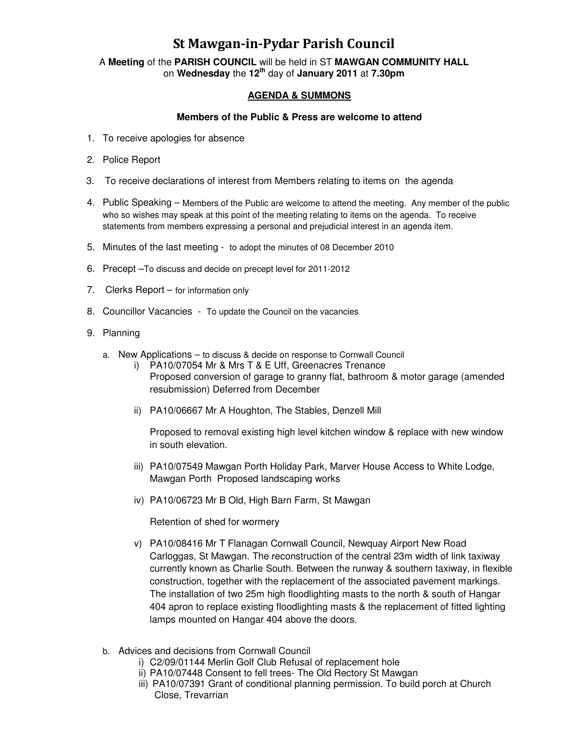## St Mawgan-in-Pydar Parish Council

A **Meeting** of the **PARISH COUNCIL** will be held in ST **MAWGAN COMMUNITY HALL** on **Wednesday** the **12th** day of **January 2011** at **7.30pm** 

## **AGENDA & SUMMONS**

## **Members of the Public & Press are welcome to attend**

- 1. To receive apologies for absence
- 2. Police Report
- 3. To receive declarations of interest from Members relating to items on the agenda
- 4. Public Speaking Members of the Public are welcome to attend the meeting. Any member of the public who so wishes may speak at this point of the meeting relating to items on the agenda. To receive statements from members expressing a personal and prejudicial interest in an agenda item.
- 5. Minutes of the last meeting to adopt the minutes of 08 December 2010
- 6. Precept –To discuss and decide on precept level for 2011-2012
- 7. Clerks Report for information only
- 8. Councillor Vacancies To update the Council on the vacancies
- 9. Planning
	- a. New Applications to discuss & decide on response to Cornwall Council
		- i) PA10/07054 Mr & Mrs T & E Uff, Greenacres Trenance Proposed conversion of garage to granny flat, bathroom & motor garage (amended resubmission) Deferred from December
		- ii) PA10/06667 Mr A Houghton, The Stables, Denzell Mill

Proposed to removal existing high level kitchen window & replace with new window in south elevation.

- iii) PA10/07549 Mawgan Porth Holiday Park, Marver House Access to White Lodge, Mawgan Porth Proposed landscaping works
- iv) PA10/06723 Mr B Old, High Barn Farm, St Mawgan

Retention of shed for wormery

- v) PA10/08416 Mr T Flanagan Cornwall Council, Newquay Airport New Road Carloggas, St Mawgan. The reconstruction of the central 23m width of link taxiway currently known as Charlie South. Between the runway & southern taxiway, in flexible construction, together with the replacement of the associated pavement markings. The installation of two 25m high floodlighting masts to the north & south of Hangar 404 apron to replace existing floodlighting masts & the replacement of fitted lighting lamps mounted on Hangar 404 above the doors.
- b. Advices and decisions from Cornwall Council
	- i) C2/09/01144 Merlin Golf Club Refusal of replacement hole
	- ii) PA10/07448 Consent to fell trees- The Old Rectory St Mawgan
	- iii) PA10/07391 Grant of conditional planning permission. To build porch at Church Close, Trevarrian